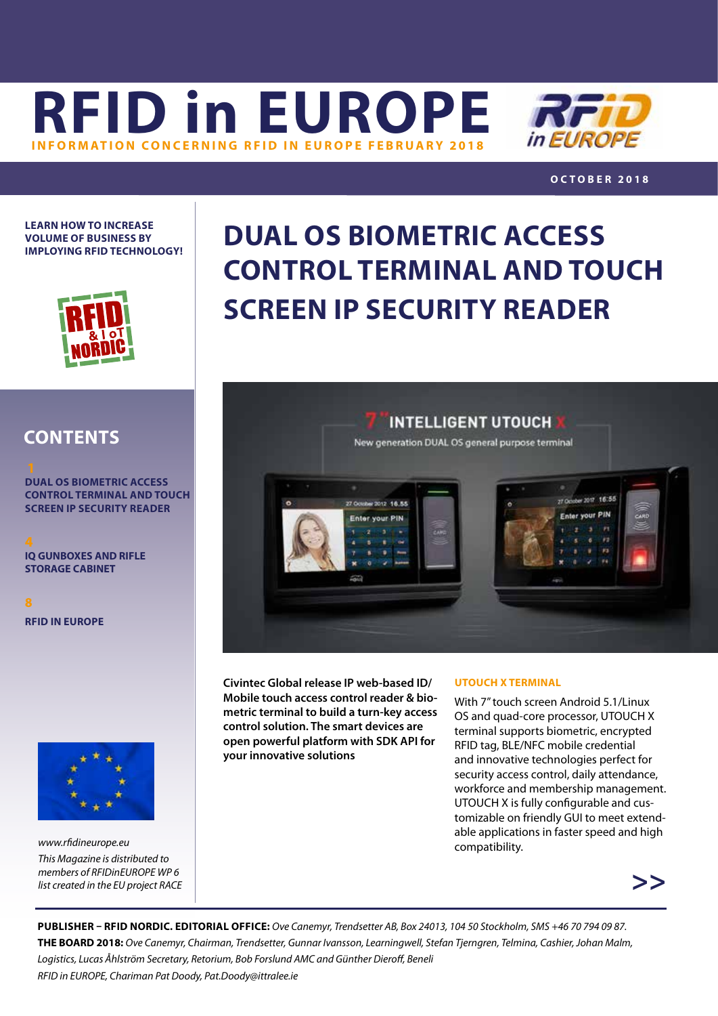



### **OCTOBER 2018**

 $2017 + 6.55$ 

**LEARN HOW TO INCREASE VOLUME OF BUSINESS BY IMPLOYING RFID TECHNOLOGY!**



## **DUAL OS BIOMETRIC ACCESS CONTROL TERMINAL AND TOUCH SCREEN IP SECURITY READER**

**INTELLIGENT UTOUCH** New generation DUAL OS general purpose terminal

**DONE 18 RK** nter your PIN



**DUAL OS BIOMETRIC ACCESS CONTROL TERMINAL AND TOUCH SCREEN IP SECURITY READER**

**[IQ GUNBOXES AND RIFLE](#page-3-0) STORAGE CABINET**

**[RFID IN EUROPE](#page-7-0)**



*[www.rfidineurope.eu](http://www.rfidineurope.eu) This Magazine is distributed to members of RFIDinEUROPE WP 6 list created in the EU project RACE* **Civintec Global release IP web-based ID/ Mobile touch access control reader & biometric terminal to build a turn-key access control solution. The smart devices are open powerful platform with SDK API for your innovative solutions**

### **UTOUCH X TERMINAL**

With 7" touch screen Android 5.1/Linux OS and quad-core processor, UTOUCH X terminal supports biometric, encrypted RFID tag, BLE/NFC mobile credential and innovative technologies perfect for security access control, daily attendance, workforce and membership management. UTOUCH X is fully configurable and customizable on friendly GUI to meet extendable applications in faster speed and high compatibility.



**PUBLISHER – RFID NORDIC. EDITORIAL OFFICE:** *Ove Canemyr, Trendsetter AB, Box 24013, 104 50 Stockholm, SMS +46 70 794 09 87.*  **THE BOARD 2018:** *Ove Canemyr, Chairman, Trendsetter, Gunnar Ivansson, Learningwell, Stefan Tjerngren, Telmina, Cashier, Johan Malm, Logistics, Lucas Åhlström Secretary, Retorium, Bob Forslund AMC and Günther Dieroff, Beneli RFID in EUROPE, Chariman Pat Doody, [Pat.Doody@ittralee.ie](mailto:pat.doody@ittralee.ie )*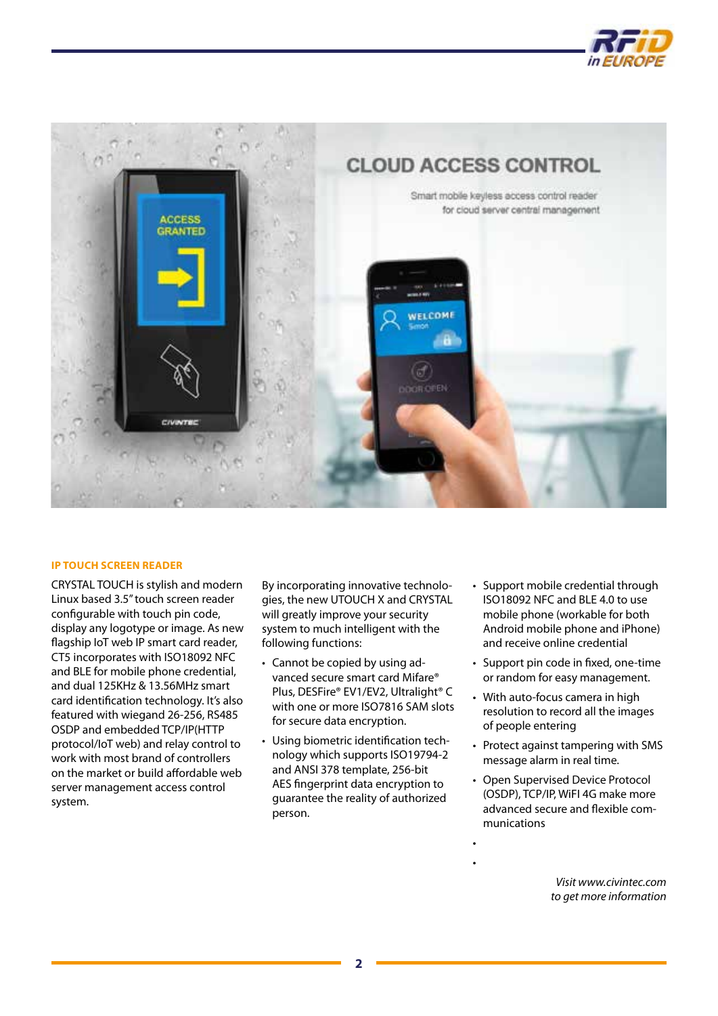



### **IP TOUCH SCREEN READER**

CRYSTAL TOUCH is stylish and modern Linux based 3.5" touch screen reader configurable with touch pin code, display any logotype or image. As new flagship IoT web IP smart card reader, CT5 incorporates with ISO18092 NFC and BLE for mobile phone credential, and dual 125KHz & 13.56MHz smart card identification technology. It's also featured with wiegand 26-256, RS485 OSDP and embedded TCP/IP(HTTP protocol/IoT web) and relay control to work with most brand of controllers on the market or build affordable web server management access control system.

By incorporating innovative technologies, the new UTOUCH X and CRYSTAL will greatly improve your security system to much intelligent with the following functions:

- Cannot be copied by using advanced secure smart card Mifare® Plus, DESFire® EV1/EV2, Ultralight® C with one or more ISO7816 SAM slots for secure data encryption.
- Using biometric identification technology which supports ISO19794-2 and ANSI 378 template, 256-bit AES fingerprint data encryption to guarantee the reality of authorized person.
- Support mobile credential through ISO18092 NFC and BLE 4.0 to use mobile phone (workable for both Android mobile phone and iPhone) and receive online credential
- Support pin code in fixed, one-time or random for easy management.
- With auto-focus camera in high resolution to record all the images of people entering
- Protect against tampering with SMS message alarm in real time.
- Open Supervised Device Protocol (OSDP), TCP/IP, WiFI 4G make more advanced secure and flexible communications

• •

> *Visit www.civintec.com to get more information*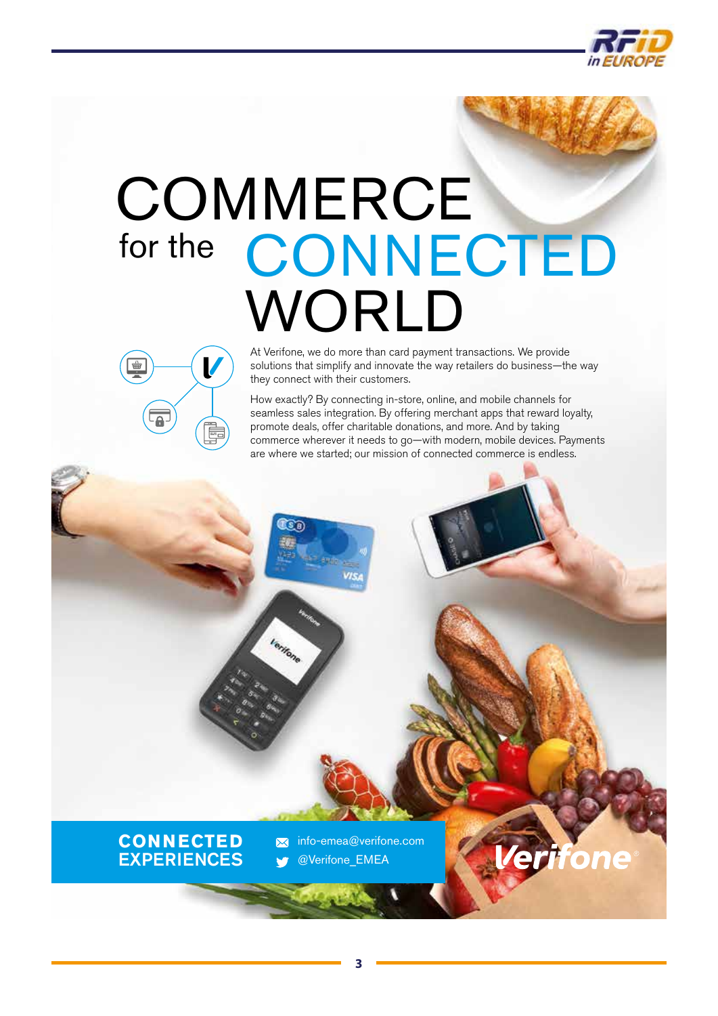

# **COMMERCE** for the [CONNECTED](http://www.verifone.com) WORLD



At Verifone, we do more than card payment transactions. We provide solutions that simplify and innovate the way retailers do business—the way they connect with their customers.

How exactly? By connecting in-store, online, and mobile channels for seamless sales integration. By offering merchant apps that reward loyalty, promote deals, offer charitable donations, and more. And by taking commerce wherever it needs to go—with modern, mobile devices. Payments are where we started; our mission of connected commerce is endless.



info-emea@verifone.com  $\overline{\mathbf{M}}$ @Verifone\_EMEA

িটার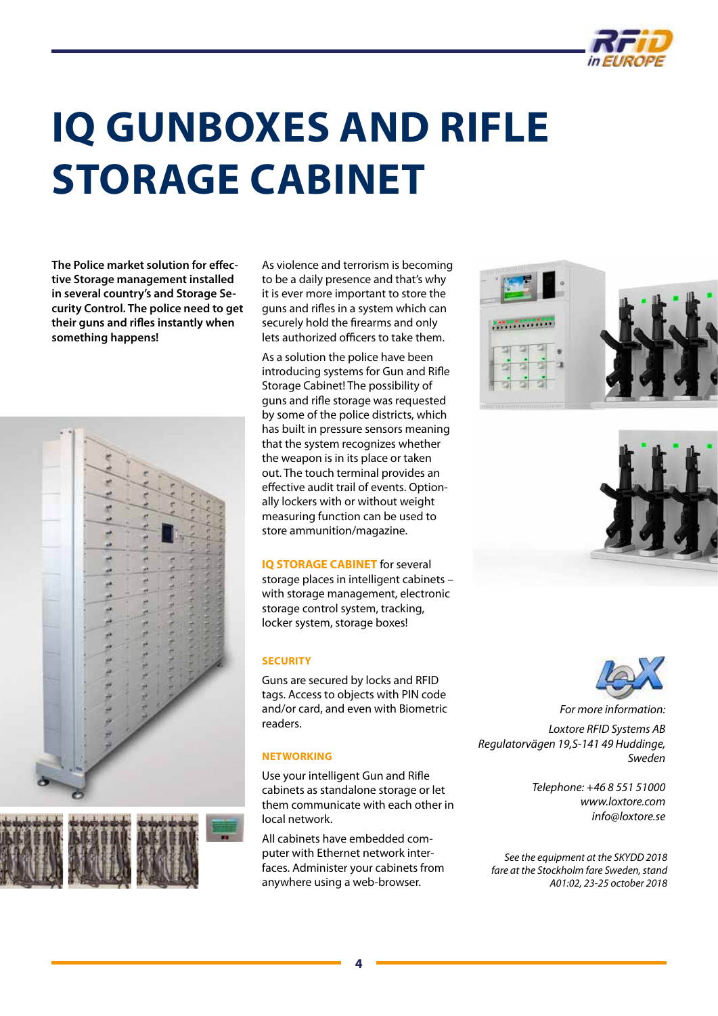

## <span id="page-3-0"></span>**IQ GUNBOXES AND RIFLE STORAGE CABINET**

**The Police market solution for effective Storage management installed in several country's and Storage Security Control. The police need to get their guns and rifles instantly when something happens!**



As violence and terrorism is becoming to be a daily presence and that's why it is ever more important to store the guns and rifles in a system which can securely hold the firearms and only lets authorized officers to take them.

As a solution the police have been introducing systems for Gun and Rifle Storage Cabinet! The possibility of guns and rifle storage was requested by some of the police districts, which has built in pressure sensors meaning that the system recognizes whether the weapon is in its place or taken out. The touch terminal provides an effective audit trail of events. Optionally lockers with or without weight measuring function can be used to store ammunition/magazine.

### **IQ STORAGE CABINET** for several

storage places in intelligent cabinets – with storage management, electronic storage control system, tracking, locker system, storage boxes!

### **SECURITY**

Guns are secured by locks and RFID tags. Access to objects with PIN code and/or card, and even with Biometric readers.

### **NETWORKING**

Use your intelligent Gun and Rifle cabinets as standalone storage or let them communicate with each other in local network.

All cabinets have embedded computer with Ethernet network interfaces. Administer your cabinets from anywhere using a web-browser.







*For more information:* 

*Loxtore RFID Systems AB Regulatorvägen 19,S-141 49 Huddinge, Sweden*

> *Telephone: +46 8 551 51000 www.loxtore.com info@loxtore.se*

*See the equipment at the SKYDD 2018 fare at the Stockholm fare Sweden, stand A01:02, 23-25 october 2018*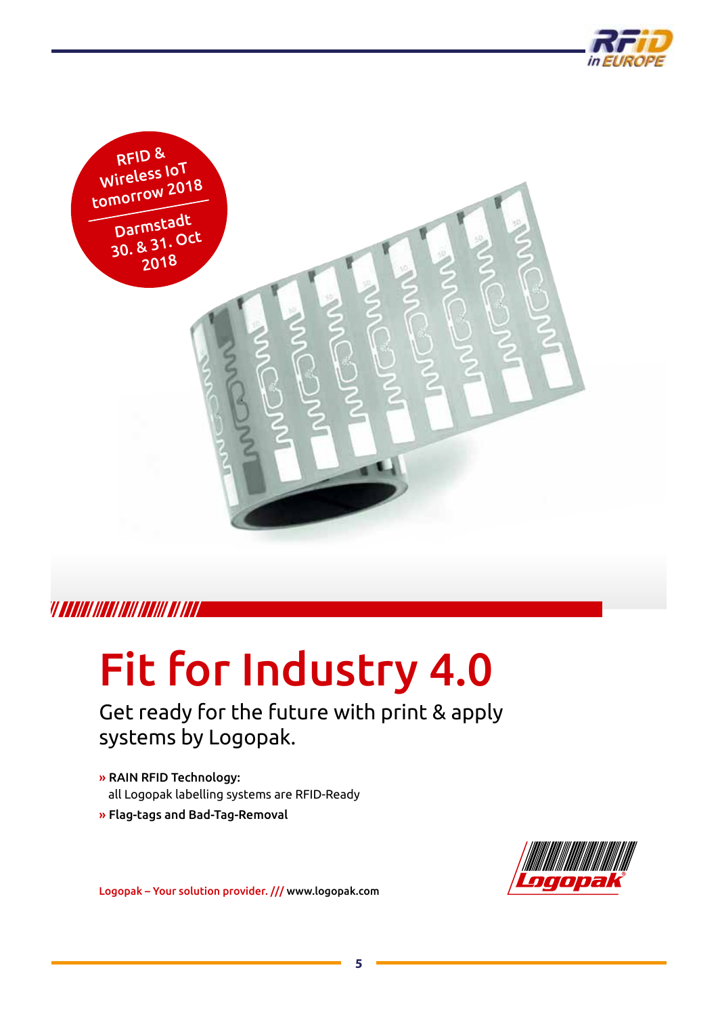



### VI AAANAI INAAN INII INANII AH INAA

## [Fit for Industry 4.0](http://www.logopak.com)

Get ready for the future with print & apply systems by Logopak.

- » RAIN RFID Technology: all Logopak labelling systems are RFID-Ready
- » Flag-tags and Bad-Tag-Removal



Logopak – Your solution provider. /// www.logopak.com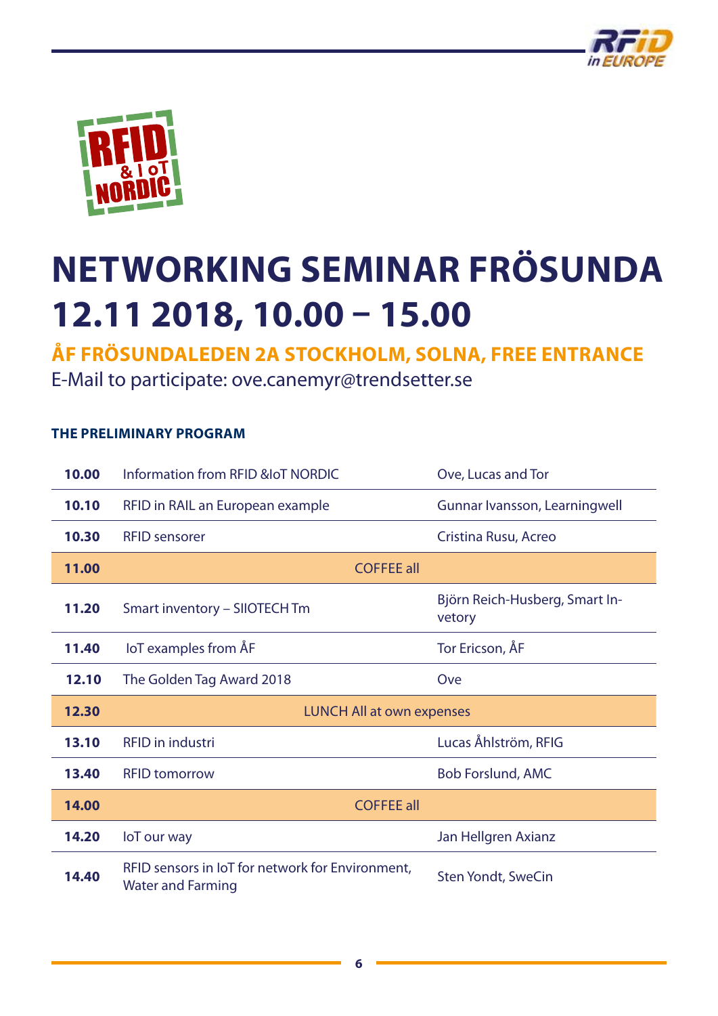



## **NETWORKING SEMINAR FRÖSUNDA 12.11 2018, 10.00 – 15.00**

**ÅF FRÖSUNDALEDEN 2A STOCKHOLM, SOLNA, FREE ENTRANCE** 

E-Mail to participate: ove.canemyr@trendsetter.se

### **THE PRELIMINARY PROGRAM**

| 10.00 | Information from RFID & OT NORDIC                                            | Ove, Lucas and Tor                       |
|-------|------------------------------------------------------------------------------|------------------------------------------|
| 10.10 | RFID in RAIL an European example                                             | Gunnar Ivansson, Learningwell            |
| 10.30 | <b>RFID</b> sensorer                                                         | Cristina Rusu, Acreo                     |
| 11.00 | <b>COFFEE all</b>                                                            |                                          |
| 11.20 | Smart inventory - SIIOTECH Tm                                                | Björn Reich-Husberg, Smart In-<br>vetory |
| 11.40 | loT examples from AF                                                         | Tor Ericson, ÅF                          |
| 12.10 | The Golden Tag Award 2018                                                    | Ove                                      |
| 12.30 | <b>LUNCH All at own expenses</b>                                             |                                          |
| 13.10 | <b>RFID</b> in industri                                                      | Lucas Åhlström, RFIG                     |
| 13.40 | <b>RFID tomorrow</b>                                                         | <b>Bob Forslund, AMC</b>                 |
| 14.00 | <b>COFFEE all</b>                                                            |                                          |
| 14.20 | loT our way                                                                  | Jan Hellgren Axianz                      |
| 14.40 | RFID sensors in IoT for network for Environment,<br><b>Water and Farming</b> | <b>Sten Yondt, SweCin</b>                |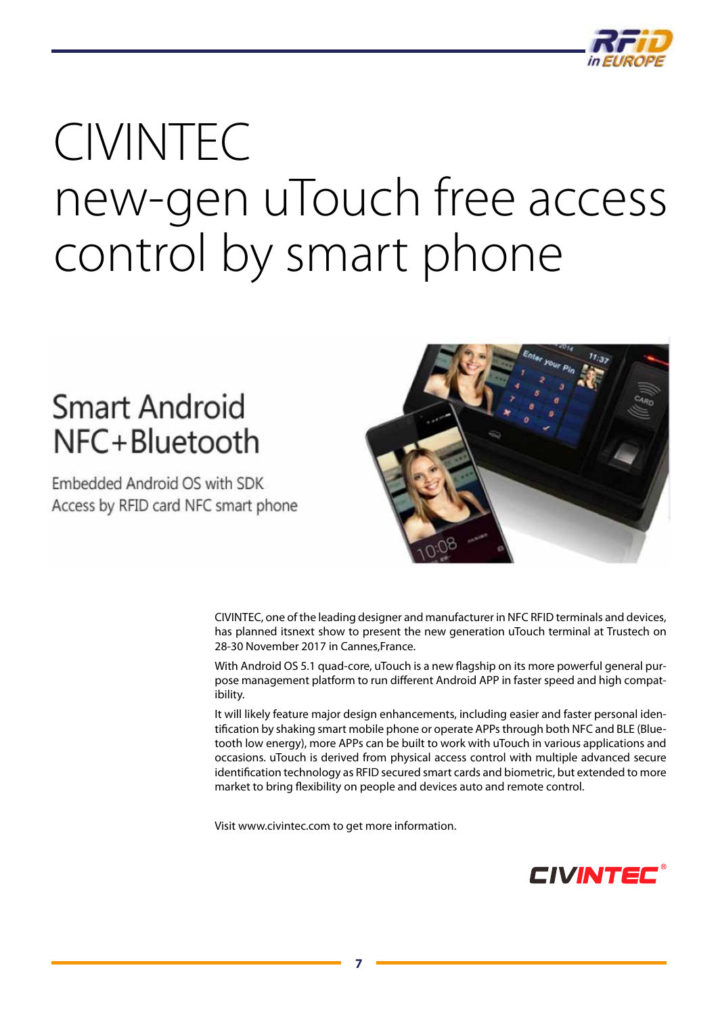

# CIVINTEC [new-gen uTouch free access](http://www.civintec.com)  control by smart phone

### **Smart Android** NFC+Bluetooth

Embedded Android OS with SDK Access by RFID card NFC smart phone



CIVINTEC, one of the leading designer and manufacturer in NFC RFID terminals and devices, has planned itsnext show to present the new generation uTouch terminal at Trustech on 28-30 November 2017 in Cannes,France.

With Android OS 5.1 quad-core, uTouch is a new flagship on its more powerful general purpose management platform to run different Android APP in faster speed and high compatibility.

It will likely feature major design enhancements, including easier and faster personal identification by shaking smart mobile phone or operate APPs through both NFC and BLE (Bluetooth low energy), more APPs can be built to work with uTouch in various applications and occasions. uTouch is derived from physical access control with multiple advanced secure identification technology as RFID secured smart cards and biometric, but extended to more market to bring flexibility on people and devices auto and remote control.

Visit www.civintec.com to get more information.